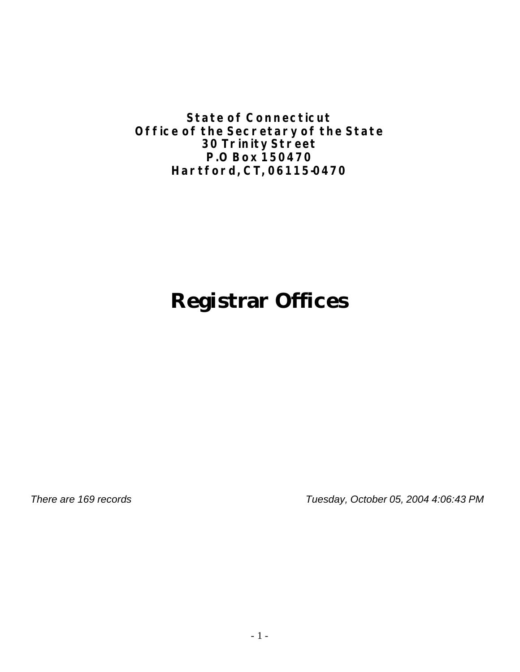**State of Connecticut Office of the Secretary of the State 30 Trinity Street P.O Box 150470 Hartford, CT, 06115-0470**

# **Registrar Offices**

*There are 169 records Tuesday, October 05, 2004 4:06:43 PM*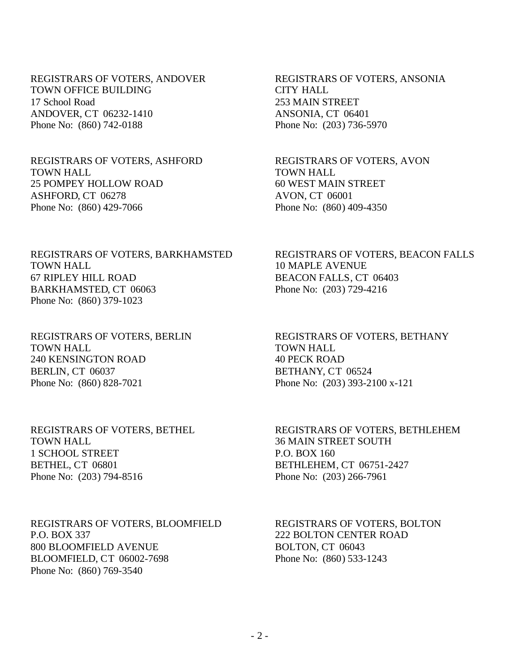REGISTRARS OF VOTERS, ANDOVER TOWN OFFICE BUILDING 17 School Road ANDOVER, CT 06232-1410 Phone No: (860) 742-0188

REGISTRARS OF VOTERS, ASHFORD TOWN HALL 25 POMPEY HOLLOW ROAD ASHFORD, CT 06278 Phone No: (860) 429-7066

REGISTRARS OF VOTERS, BARKHAMSTED TOWN HALL 67 RIPLEY HILL ROAD BARKHAMSTED, CT 06063 Phone No: (860) 379-1023

REGISTRARS OF VOTERS, BERLIN TOWN HALL 240 KENSINGTON ROAD BERLIN, CT 06037 Phone No: (860) 828-7021

REGISTRARS OF VOTERS, BETHEL TOWN HALL 1 SCHOOL STREET BETHEL, CT 06801 Phone No: (203) 794-8516

REGISTRARS OF VOTERS, BLOOMFIELD P.O. BOX 337 800 BLOOMFIELD AVENUE BLOOMFIELD, CT 06002-7698 Phone No: (860) 769-3540

REGISTRARS OF VOTERS, ANSONIA CITY HALL 253 MAIN STREET ANSONIA, CT 06401 Phone No: (203) 736-5970

REGISTRARS OF VOTERS, AVON TOWN HALL 60 WEST MAIN STREET AVON, CT 06001 Phone No: (860) 409-4350

REGISTRARS OF VOTERS, BEACON FALLS 10 MAPLE AVENUE BEACON FALLS, CT 06403 Phone No: (203) 729-4216

REGISTRARS OF VOTERS, BETHANY TOWN HALL 40 PECK ROAD BETHANY, CT 06524 Phone No: (203) 393-2100 x-121

REGISTRARS OF VOTERS, BETHLEHEM 36 MAIN STREET SOUTH P.O. BOX 160 BETHLEHEM, CT 06751-2427 Phone No: (203) 266-7961

REGISTRARS OF VOTERS, BOLTON 222 BOLTON CENTER ROAD BOLTON, CT 06043 Phone No: (860) 533-1243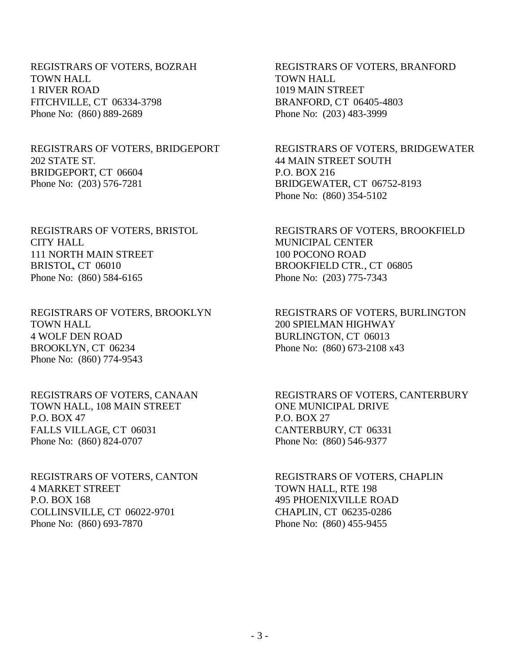REGISTRARS OF VOTERS, BOZRAH TOWN HALL 1 RIVER ROAD FITCHVILLE, CT 06334-3798 Phone No: (860) 889-2689

## REGISTRARS OF VOTERS, BRIDGEPORT 202 STATE ST. BRIDGEPORT, CT 06604 Phone No: (203) 576-7281

REGISTRARS OF VOTERS, BRISTOL CITY HALL 111 NORTH MAIN STREET BRISTOL, CT 06010 Phone No: (860) 584-6165

REGISTRARS OF VOTERS, BROOKLYN TOWN HALL 4 WOLF DEN ROAD BROOKLYN, CT 06234 Phone No: (860) 774-9543

REGISTRARS OF VOTERS, CANAAN TOWN HALL, 108 MAIN STREET P.O. BOX 47 FALLS VILLAGE, CT 06031 Phone No: (860) 824-0707

REGISTRARS OF VOTERS, CANTON 4 MARKET STREET P.O. BOX 168 COLLINSVILLE, CT 06022-9701 Phone No: (860) 693-7870

REGISTRARS OF VOTERS, BRANFORD TOWN HALL 1019 MAIN STREET BRANFORD, CT 06405-4803 Phone No: (203) 483-3999

REGISTRARS OF VOTERS, BRIDGEWATER 44 MAIN STREET SOUTH P.O. BOX 216 BRIDGEWATER, CT 06752-8193 Phone No: (860) 354-5102

REGISTRARS OF VOTERS, BROOKFIELD MUNICIPAL CENTER 100 POCONO ROAD BROOKFIELD CTR., CT 06805 Phone No: (203) 775-7343

REGISTRARS OF VOTERS, BURLINGTON 200 SPIELMAN HIGHWAY BURLINGTON, CT 06013 Phone No: (860) 673-2108 x43

REGISTRARS OF VOTERS, CANTERBURY ONE MUNICIPAL DRIVE P.O. BOX 27 CANTERBURY, CT 06331 Phone No: (860) 546-9377

REGISTRARS OF VOTERS, CHAPLIN TOWN HALL, RTE 198 495 PHOENIXVILLE ROAD CHAPLIN, CT 06235-0286 Phone No: (860) 455-9455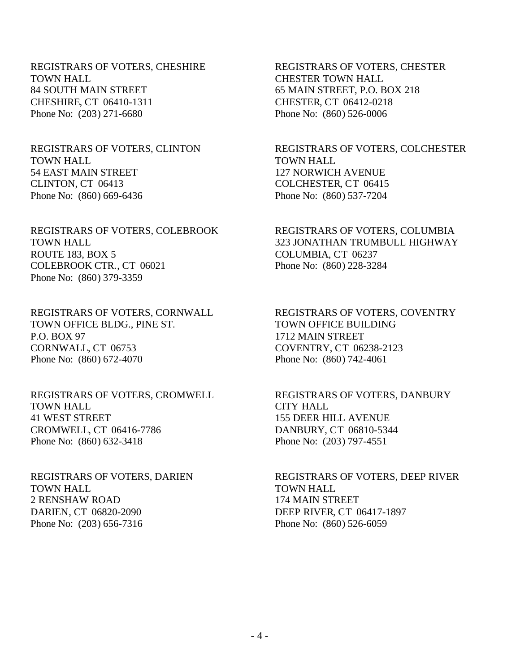REGISTRARS OF VOTERS, CHESHIRE TOWN HALL 84 SOUTH MAIN STREET CHESHIRE, CT 06410-1311 Phone No: (203) 271-6680

#### REGISTRARS OF VOTERS, CLINTON TOWN HALL 54 EAST MAIN STREET CLINTON, CT 06413 Phone No: (860) 669-6436

REGISTRARS OF VOTERS, COLEBROOK TOWN HALL ROUTE 183, BOX 5 COLEBROOK CTR., CT 06021 Phone No: (860) 379-3359

REGISTRARS OF VOTERS, CORNWALL TOWN OFFICE BLDG., PINE ST. P.O. BOX 97 CORNWALL, CT 06753 Phone No: (860) 672-4070

REGISTRARS OF VOTERS, CROMWELL TOWN HALL 41 WEST STREET CROMWELL, CT 06416-7786 Phone No: (860) 632-3418

REGISTRARS OF VOTERS, DARIEN TOWN HALL 2 RENSHAW ROAD DARIEN, CT 06820-2090 Phone No: (203) 656-7316

REGISTRARS OF VOTERS, CHESTER CHESTER TOWN HALL 65 MAIN STREET, P.O. BOX 218 CHESTER, CT 06412-0218 Phone No: (860) 526-0006

REGISTRARS OF VOTERS, COLCHESTER TOWN HALL 127 NORWICH AVENUE COLCHESTER, CT 06415 Phone No: (860) 537-7204

REGISTRARS OF VOTERS, COLUMBIA 323 JONATHAN TRUMBULL HIGHWAY COLUMBIA, CT 06237 Phone No: (860) 228-3284

REGISTRARS OF VOTERS, COVENTRY TOWN OFFICE BUILDING 1712 MAIN STREET COVENTRY, CT 06238-2123 Phone No: (860) 742-4061

REGISTRARS OF VOTERS, DANBURY CITY HALL 155 DEER HILL AVENUE DANBURY, CT 06810-5344 Phone No: (203) 797-4551

REGISTRARS OF VOTERS, DEEP RIVER TOWN HALL 174 MAIN STREET DEEP RIVER, CT 06417-1897 Phone No: (860) 526-6059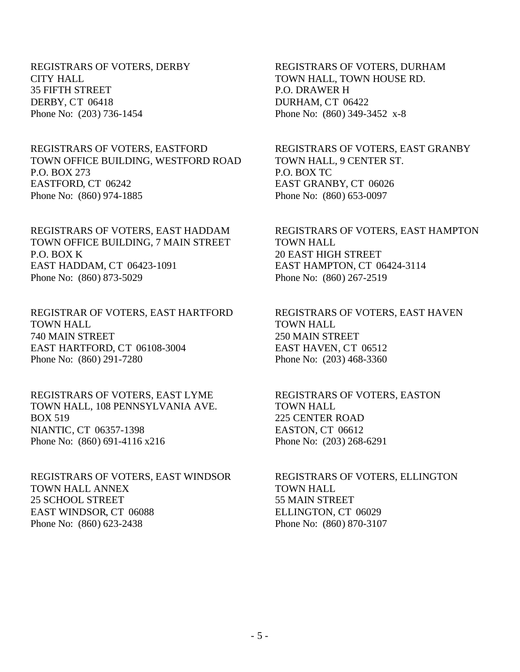REGISTRARS OF VOTERS, DERBY CITY HALL 35 FIFTH STREET DERBY, CT 06418 Phone No: (203) 736-1454

REGISTRARS OF VOTERS, EASTFORD TOWN OFFICE BUILDING, WESTFORD ROAD P.O. BOX 273 EASTFORD, CT 06242 Phone No: (860) 974-1885

REGISTRARS OF VOTERS, EAST HADDAM TOWN OFFICE BUILDING, 7 MAIN STREET P.O. BOX K EAST HADDAM, CT 06423-1091 Phone No: (860) 873-5029

REGISTRAR OF VOTERS, EAST HARTFORD TOWN HALL 740 MAIN STREET EAST HARTFORD, CT 06108-3004 Phone No: (860) 291-7280

REGISTRARS OF VOTERS, EAST LYME TOWN HALL, 108 PENNSYLVANIA AVE. BOX 519 NIANTIC, CT 06357-1398 Phone No: (860) 691-4116 x216

REGISTRARS OF VOTERS, EAST WINDSOR TOWN HALL ANNEX 25 SCHOOL STREET EAST WINDSOR, CT 06088 Phone No: (860) 623-2438

REGISTRARS OF VOTERS, DURHAM TOWN HALL, TOWN HOUSE RD. P.O. DRAWER H DURHAM, CT 06422 Phone No: (860) 349-3452 x-8

REGISTRARS OF VOTERS, EAST GRANBY TOWN HALL, 9 CENTER ST. P.O. BOX TC EAST GRANBY, CT 06026 Phone No: (860) 653-0097

REGISTRARS OF VOTERS, EAST HAMPTON TOWN HALL 20 EAST HIGH STREET EAST HAMPTON, CT 06424-3114 Phone No: (860) 267-2519

REGISTRARS OF VOTERS, EAST HAVEN TOWN HALL 250 MAIN STREET EAST HAVEN, CT 06512 Phone No: (203) 468-3360

REGISTRARS OF VOTERS, EASTON TOWN HALL 225 CENTER ROAD EASTON, CT 06612 Phone No: (203) 268-6291

REGISTRARS OF VOTERS, ELLINGTON TOWN HALL 55 MAIN STREET ELLINGTON, CT 06029 Phone No: (860) 870-3107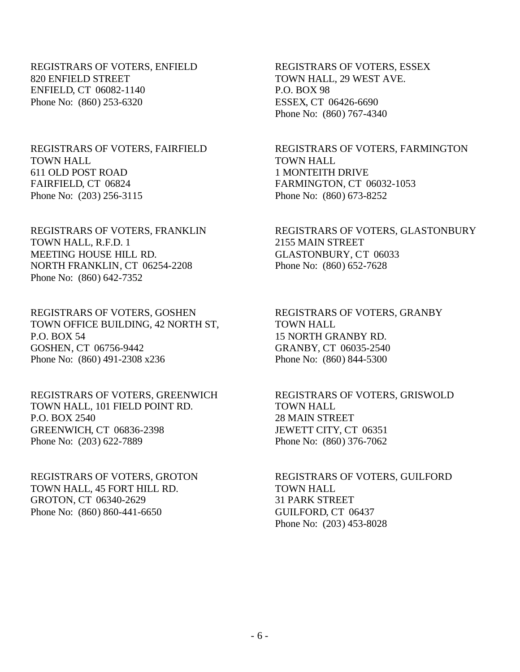REGISTRARS OF VOTERS, ENFIELD 820 ENFIELD STREET ENFIELD, CT 06082-1140 Phone No: (860) 253-6320

## REGISTRARS OF VOTERS, FAIRFIELD TOWN HALL 611 OLD POST ROAD FAIRFIELD, CT 06824 Phone No: (203) 256-3115

REGISTRARS OF VOTERS, FRANKLIN TOWN HALL, R.F.D. 1 MEETING HOUSE HILL RD. NORTH FRANKLIN, CT 06254-2208 Phone No: (860) 642-7352

REGISTRARS OF VOTERS, GOSHEN TOWN OFFICE BUILDING, 42 NORTH ST, P.O. BOX 54 GOSHEN, CT 06756-9442 Phone No: (860) 491-2308 x236

REGISTRARS OF VOTERS, GREENWICH TOWN HALL, 101 FIELD POINT RD. P.O. BOX 2540 GREENWICH, CT 06836-2398 Phone No: (203) 622-7889

REGISTRARS OF VOTERS, GROTON TOWN HALL, 45 FORT HILL RD. GROTON, CT 06340-2629 Phone No: (860) 860-441-6650

REGISTRARS OF VOTERS, ESSEX TOWN HALL, 29 WEST AVE. P.O. BOX 98 ESSEX, CT 06426-6690 Phone No: (860) 767-4340

REGISTRARS OF VOTERS, FARMINGTON TOWN HALL 1 MONTEITH DRIVE FARMINGTON, CT 06032-1053 Phone No: (860) 673-8252

REGISTRARS OF VOTERS, GLASTONBURY 2155 MAIN STREET GLASTONBURY, CT 06033 Phone No: (860) 652-7628

REGISTRARS OF VOTERS, GRANBY TOWN HALL 15 NORTH GRANBY RD. GRANBY, CT 06035-2540 Phone No: (860) 844-5300

REGISTRARS OF VOTERS, GRISWOLD TOWN HALL 28 MAIN STREET JEWETT CITY, CT 06351 Phone No: (860) 376-7062

REGISTRARS OF VOTERS, GUILFORD TOWN HALL 31 PARK STREET GUILFORD, CT 06437 Phone No: (203) 453-8028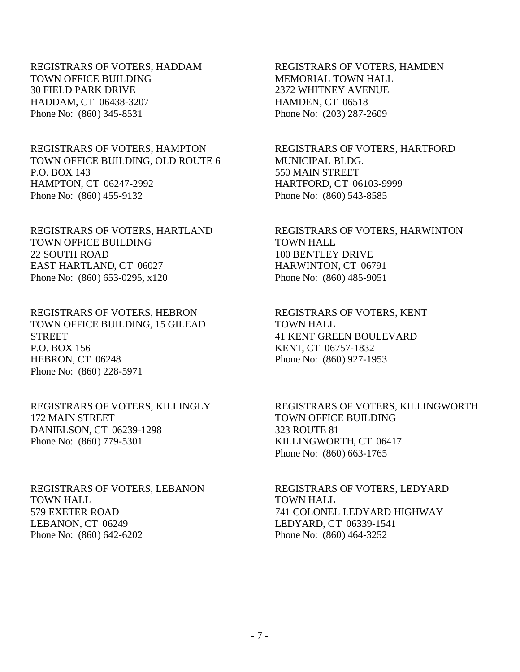REGISTRARS OF VOTERS, HADDAM TOWN OFFICE BUILDING 30 FIELD PARK DRIVE HADDAM, CT 06438-3207 Phone No: (860) 345-8531

## REGISTRARS OF VOTERS, HAMPTON TOWN OFFICE BUILDING, OLD ROUTE 6 P.O. BOX 143 HAMPTON, CT 06247-2992 Phone No: (860) 455-9132

REGISTRARS OF VOTERS, HARTLAND TOWN OFFICE BUILDING 22 SOUTH ROAD EAST HARTLAND, CT 06027 Phone No: (860) 653-0295, x120

REGISTRARS OF VOTERS, HEBRON TOWN OFFICE BUILDING, 15 GILEAD **STREET** P.O. BOX 156 HEBRON, CT 06248 Phone No: (860) 228-5971

REGISTRARS OF VOTERS, KILLINGLY 172 MAIN STREET DANIELSON, CT 06239-1298 Phone No: (860) 779-5301

REGISTRARS OF VOTERS, LEBANON TOWN HALL 579 EXETER ROAD LEBANON, CT 06249 Phone No: (860) 642-6202

REGISTRARS OF VOTERS, HAMDEN MEMORIAL TOWN HALL 2372 WHITNEY AVENUE HAMDEN, CT 06518 Phone No: (203) 287-2609

REGISTRARS OF VOTERS, HARTFORD MUNICIPAL BLDG. 550 MAIN STREET HARTFORD, CT 06103-9999 Phone No: (860) 543-8585

REGISTRARS OF VOTERS, HARWINTON TOWN HALL 100 BENTLEY DRIVE HARWINTON, CT 06791 Phone No: (860) 485-9051

REGISTRARS OF VOTERS, KENT TOWN HALL 41 KENT GREEN BOULEVARD KENT, CT 06757-1832 Phone No: (860) 927-1953

REGISTRARS OF VOTERS, KILLINGWORTH TOWN OFFICE BUILDING 323 ROUTE 81 KILLINGWORTH, CT 06417 Phone No: (860) 663-1765

REGISTRARS OF VOTERS, LEDYARD TOWN HALL 741 COLONEL LEDYARD HIGHWAY LEDYARD, CT 06339-1541 Phone No: (860) 464-3252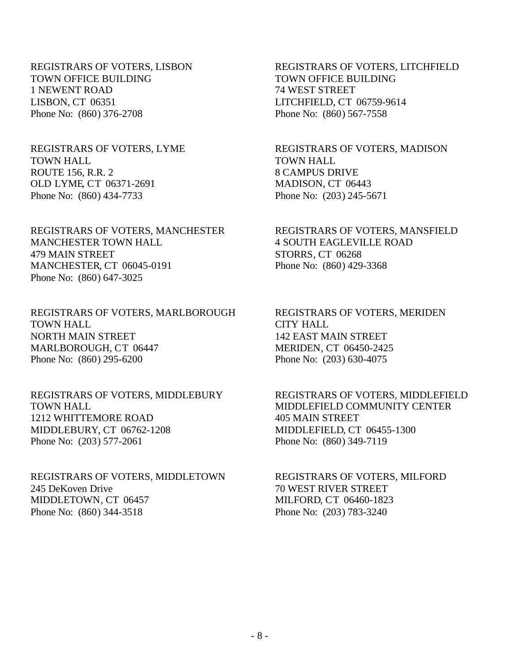REGISTRARS OF VOTERS, LISBON TOWN OFFICE BUILDING 1 NEWENT ROAD LISBON, CT 06351 Phone No: (860) 376-2708

REGISTRARS OF VOTERS, LYME TOWN HALL ROUTE 156, R.R. 2 OLD LYME, CT 06371-2691 Phone No: (860) 434-7733

REGISTRARS OF VOTERS, MANCHESTER MANCHESTER TOWN HALL 479 MAIN STREET MANCHESTER, CT 06045-0191 Phone No: (860) 647-3025

REGISTRARS OF VOTERS, MARLBOROUGH TOWN HALL NORTH MAIN STREET MARLBOROUGH, CT 06447 Phone No: (860) 295-6200

REGISTRARS OF VOTERS, MIDDLEBURY TOWN HALL 1212 WHITTEMORE ROAD MIDDLEBURY, CT 06762-1208 Phone No: (203) 577-2061

REGISTRARS OF VOTERS, MIDDLETOWN 245 DeKoven Drive MIDDLETOWN, CT 06457 Phone No: (860) 344-3518

REGISTRARS OF VOTERS, LITCHFIELD TOWN OFFICE BUILDING 74 WEST STREET LITCHFIELD, CT 06759-9614 Phone No: (860) 567-7558

REGISTRARS OF VOTERS, MADISON TOWN HALL 8 CAMPUS DRIVE MADISON, CT 06443 Phone No: (203) 245-5671

REGISTRARS OF VOTERS, MANSFIELD 4 SOUTH EAGLEVILLE ROAD STORRS, CT 06268 Phone No: (860) 429-3368

REGISTRARS OF VOTERS, MERIDEN CITY HALL 142 EAST MAIN STREET MERIDEN, CT 06450-2425 Phone No: (203) 630-4075

REGISTRARS OF VOTERS, MIDDLEFIELD MIDDLEFIELD COMMUNITY CENTER 405 MAIN STREET MIDDLEFIELD, CT 06455-1300 Phone No: (860) 349-7119

REGISTRARS OF VOTERS, MILFORD 70 WEST RIVER STREET MILFORD, CT 06460-1823 Phone No: (203) 783-3240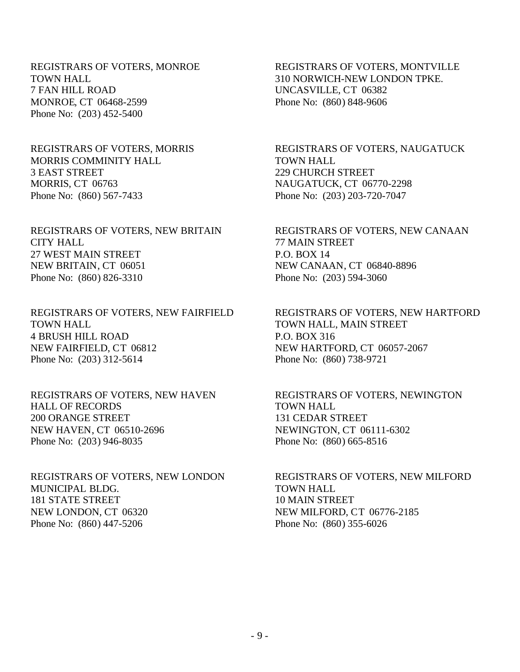REGISTRARS OF VOTERS, MONROE TOWN HALL 7 FAN HILL ROAD MONROE, CT 06468-2599 Phone No: (203) 452-5400

REGISTRARS OF VOTERS, MORRIS MORRIS COMMINITY HALL 3 EAST STREET MORRIS, CT 06763 Phone No: (860) 567-7433

REGISTRARS OF VOTERS, NEW BRITAIN CITY HALL 27 WEST MAIN STREET NEW BRITAIN, CT 06051 Phone No: (860) 826-3310

REGISTRARS OF VOTERS, NEW FAIRFIELD TOWN HALL 4 BRUSH HILL ROAD NEW FAIRFIELD, CT 06812 Phone No: (203) 312-5614

REGISTRARS OF VOTERS, NEW HAVEN HALL OF RECORDS 200 ORANGE STREET NEW HAVEN, CT 06510-2696 Phone No: (203) 946-8035

REGISTRARS OF VOTERS, NEW LONDON MUNICIPAL BLDG. 181 STATE STREET NEW LONDON, CT 06320 Phone No: (860) 447-5206

REGISTRARS OF VOTERS, MONTVILLE 310 NORWICH-NEW LONDON TPKE. UNCASVILLE, CT 06382 Phone No: (860) 848-9606

REGISTRARS OF VOTERS, NAUGATUCK TOWN HALL 229 CHURCH STREET NAUGATUCK, CT 06770-2298 Phone No: (203) 203-720-7047

REGISTRARS OF VOTERS, NEW CANAAN 77 MAIN STREET P.O. BOX 14 NEW CANAAN, CT 06840-8896 Phone No: (203) 594-3060

REGISTRARS OF VOTERS, NEW HARTFORD TOWN HALL, MAIN STREET P.O. BOX 316 NEW HARTFORD, CT 06057-2067 Phone No: (860) 738-9721

REGISTRARS OF VOTERS, NEWINGTON TOWN HALL 131 CEDAR STREET NEWINGTON, CT 06111-6302 Phone No: (860) 665-8516

REGISTRARS OF VOTERS, NEW MILFORD TOWN HALL 10 MAIN STREET NEW MILFORD, CT 06776-2185 Phone No: (860) 355-6026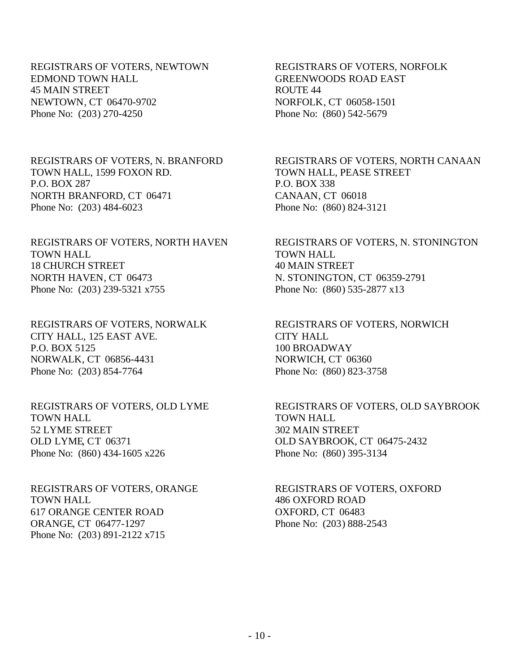REGISTRARS OF VOTERS, NEWTOWN EDMOND TOWN HALL 45 MAIN STREET NEWTOWN, CT 06470-9702 Phone No: (203) 270-4250

REGISTRARS OF VOTERS, N. BRANFORD TOWN HALL, 1599 FOXON RD. P.O. BOX 287 NORTH BRANFORD, CT 06471 Phone No: (203) 484-6023

REGISTRARS OF VOTERS, NORTH HAVEN TOWN HALL 18 CHURCH STREET NORTH HAVEN, CT 06473 Phone No: (203) 239-5321 x755

REGISTRARS OF VOTERS, NORWALK CITY HALL, 125 EAST AVE. P.O. BOX 5125 NORWALK, CT 06856-4431 Phone No: (203) 854-7764

REGISTRARS OF VOTERS, OLD LYME TOWN HALL 52 LYME STREET OLD LYME, CT 06371 Phone No: (860) 434-1605 x226

REGISTRARS OF VOTERS, ORANGE TOWN HALL 617 ORANGE CENTER ROAD ORANGE, CT 06477-1297 Phone No: (203) 891-2122 x715

REGISTRARS OF VOTERS, NORFOLK GREENWOODS ROAD EAST ROUTE 44 NORFOLK, CT 06058-1501 Phone No: (860) 542-5679

REGISTRARS OF VOTERS, NORTH CANAAN TOWN HALL, PEASE STREET P.O. BOX 338 CANAAN, CT 06018 Phone No: (860) 824-3121

REGISTRARS OF VOTERS, N. STONINGTON TOWN HALL 40 MAIN STREET N. STONINGTON, CT 06359-2791 Phone No: (860) 535-2877 x13

REGISTRARS OF VOTERS, NORWICH CITY HALL 100 BROADWAY NORWICH, CT 06360 Phone No: (860) 823-3758

REGISTRARS OF VOTERS, OLD SAYBROOK TOWN HALL 302 MAIN STREET OLD SAYBROOK, CT 06475-2432 Phone No: (860) 395-3134

REGISTRARS OF VOTERS, OXFORD 486 OXFORD ROAD OXFORD, CT 06483 Phone No: (203) 888-2543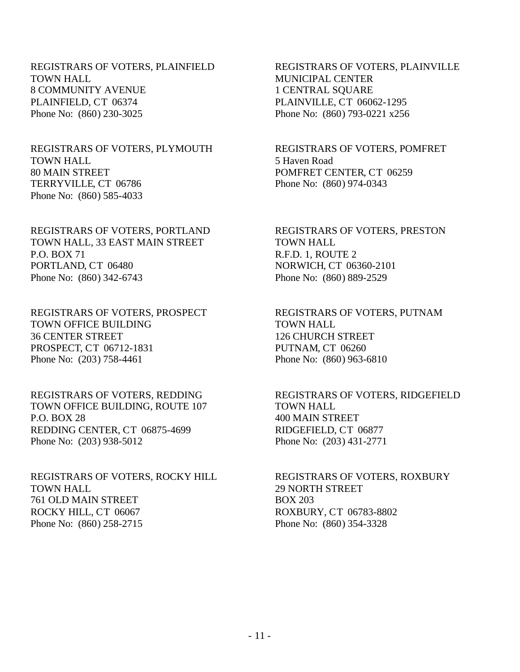REGISTRARS OF VOTERS, PLAINFIELD TOWN HALL 8 COMMUNITY AVENUE PLAINFIELD, CT 06374 Phone No: (860) 230-3025

## REGISTRARS OF VOTERS, PLYMOUTH TOWN HALL 80 MAIN STREET TERRYVILLE, CT 06786 Phone No: (860) 585-4033

REGISTRARS OF VOTERS, PORTLAND TOWN HALL, 33 EAST MAIN STREET P.O. BOX 71 PORTLAND, CT 06480 Phone No: (860) 342-6743

REGISTRARS OF VOTERS, PROSPECT TOWN OFFICE BUILDING 36 CENTER STREET PROSPECT, CT 06712-1831 Phone No: (203) 758-4461

REGISTRARS OF VOTERS, REDDING TOWN OFFICE BUILDING, ROUTE 107 P.O. BOX 28 REDDING CENTER, CT 06875-4699 Phone No: (203) 938-5012

REGISTRARS OF VOTERS, ROCKY HILL TOWN HALL 761 OLD MAIN STREET ROCKY HILL, CT 06067 Phone No: (860) 258-2715

REGISTRARS OF VOTERS, PLAINVILLE MUNICIPAL CENTER 1 CENTRAL SQUARE PLAINVILLE, CT 06062-1295 Phone No: (860) 793-0221 x256

REGISTRARS OF VOTERS, POMFRET 5 Haven Road POMFRET CENTER, CT 06259 Phone No: (860) 974-0343

REGISTRARS OF VOTERS, PRESTON TOWN HALL R.F.D. 1, ROUTE 2 NORWICH, CT 06360-2101 Phone No: (860) 889-2529

REGISTRARS OF VOTERS, PUTNAM TOWN HALL 126 CHURCH STREET PUTNAM, CT 06260 Phone No: (860) 963-6810

REGISTRARS OF VOTERS, RIDGEFIELD TOWN HALL 400 MAIN STREET RIDGEFIELD, CT 06877 Phone No: (203) 431-2771

REGISTRARS OF VOTERS, ROXBURY 29 NORTH STREET BOX 203 ROXBURY, CT 06783-8802 Phone No: (860) 354-3328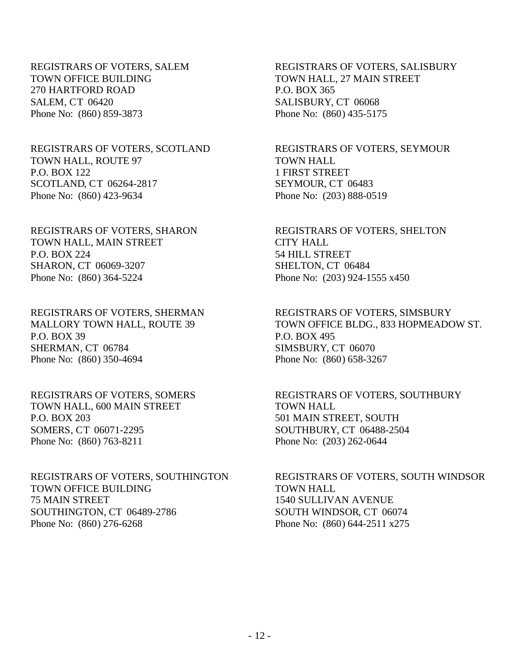REGISTRARS OF VOTERS, SALEM TOWN OFFICE BUILDING 270 HARTFORD ROAD SALEM, CT 06420 Phone No: (860) 859-3873

#### REGISTRARS OF VOTERS, SCOTLAND TOWN HALL, ROUTE 97 P.O. BOX 122 SCOTLAND, CT 06264-2817 Phone No: (860) 423-9634

REGISTRARS OF VOTERS, SHARON TOWN HALL, MAIN STREET P.O. BOX 224 SHARON, CT 06069-3207 Phone No: (860) 364-5224

REGISTRARS OF VOTERS, SHERMAN MALLORY TOWN HALL, ROUTE 39 P.O. BOX 39 SHERMAN, CT 06784 Phone No: (860) 350-4694

REGISTRARS OF VOTERS, SOMERS TOWN HALL, 600 MAIN STREET P.O. BOX 203 SOMERS, CT 06071-2295 Phone No: (860) 763-8211

REGISTRARS OF VOTERS, SOUTHINGTON TOWN OFFICE BUILDING 75 MAIN STREET SOUTHINGTON, CT 06489-2786 Phone No: (860) 276-6268

REGISTRARS OF VOTERS, SALISBURY TOWN HALL, 27 MAIN STREET P.O. BOX 365 SALISBURY, CT 06068 Phone No: (860) 435-5175

REGISTRARS OF VOTERS, SEYMOUR TOWN HALL 1 FIRST STREET SEYMOUR, CT 06483 Phone No: (203) 888-0519

REGISTRARS OF VOTERS, SHELTON CITY HALL 54 HILL STREET SHELTON, CT 06484 Phone No: (203) 924-1555 x450

REGISTRARS OF VOTERS, SIMSBURY TOWN OFFICE BLDG., 833 HOPMEADOW ST. P.O. BOX 495 SIMSBURY, CT 06070 Phone No: (860) 658-3267

REGISTRARS OF VOTERS, SOUTHBURY TOWN HALL 501 MAIN STREET, SOUTH SOUTHBURY, CT 06488-2504 Phone No: (203) 262-0644

REGISTRARS OF VOTERS, SOUTH WINDSOR TOWN HALL 1540 SULLIVAN AVENUE SOUTH WINDSOR, CT 06074 Phone No: (860) 644-2511 x275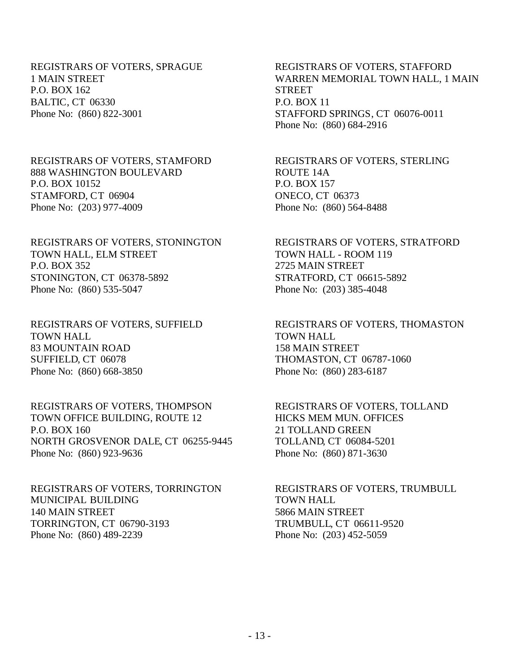REGISTRARS OF VOTERS, SPRAGUE 1 MAIN STREET P.O. BOX 162 BALTIC, CT 06330 Phone No: (860) 822-3001

REGISTRARS OF VOTERS, STAMFORD 888 WASHINGTON BOULEVARD P.O. BOX 10152 STAMFORD, CT 06904 Phone No: (203) 977-4009

REGISTRARS OF VOTERS, STONINGTON TOWN HALL, ELM STREET P.O. BOX 352 STONINGTON, CT 06378-5892 Phone No: (860) 535-5047

REGISTRARS OF VOTERS, SUFFIELD TOWN HALL 83 MOUNTAIN ROAD SUFFIELD, CT 06078 Phone No: (860) 668-3850

REGISTRARS OF VOTERS, THOMPSON TOWN OFFICE BUILDING, ROUTE 12 P.O. BOX 160 NORTH GROSVENOR DALE, CT 06255-9445 Phone No: (860) 923-9636

REGISTRARS OF VOTERS, TORRINGTON MUNICIPAL BUILDING 140 MAIN STREET TORRINGTON, CT 06790-3193 Phone No: (860) 489-2239

REGISTRARS OF VOTERS, STAFFORD WARREN MEMORIAL TOWN HALL, 1 MAIN **STREET** P.O. BOX 11 STAFFORD SPRINGS, CT 06076-0011 Phone No: (860) 684-2916

REGISTRARS OF VOTERS, STERLING ROUTE 14A P.O. BOX 157 ONECO, CT 06373 Phone No: (860) 564-8488

REGISTRARS OF VOTERS, STRATFORD TOWN HALL - ROOM 119 2725 MAIN STREET STRATFORD, CT 06615-5892 Phone No: (203) 385-4048

REGISTRARS OF VOTERS, THOMASTON TOWN HALL 158 MAIN STREET THOMASTON, CT 06787-1060 Phone No: (860) 283-6187

REGISTRARS OF VOTERS, TOLLAND HICKS MEM MUN. OFFICES 21 TOLLAND GREEN TOLLAND, CT 06084-5201 Phone No: (860) 871-3630

REGISTRARS OF VOTERS, TRUMBULL TOWN HALL 5866 MAIN STREET TRUMBULL, CT 06611-9520 Phone No: (203) 452-5059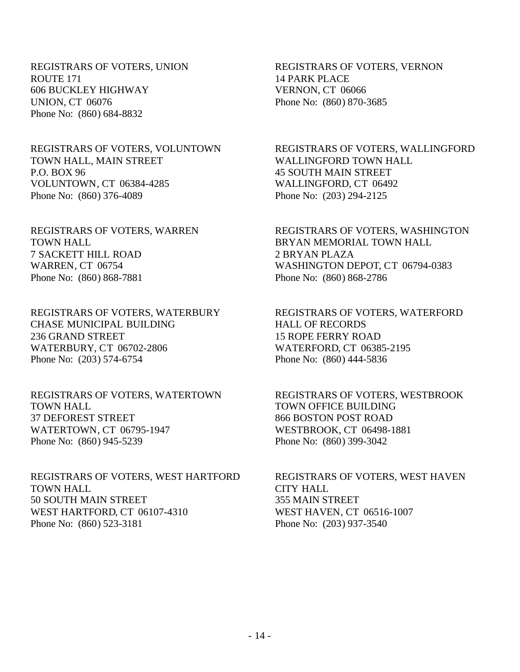REGISTRARS OF VOTERS, UNION ROUTE 171 606 BUCKLEY HIGHWAY UNION, CT 06076 Phone No: (860) 684-8832

REGISTRARS OF VOTERS, VOLUNTOWN TOWN HALL, MAIN STREET P.O. BOX 96 VOLUNTOWN, CT 06384-4285 Phone No: (860) 376-4089

REGISTRARS OF VOTERS, WARREN TOWN HALL 7 SACKETT HILL ROAD WARREN, CT 06754 Phone No: (860) 868-7881

REGISTRARS OF VOTERS, WATERBURY CHASE MUNICIPAL BUILDING 236 GRAND STREET WATERBURY, CT 06702-2806 Phone No: (203) 574-6754

REGISTRARS OF VOTERS, WATERTOWN TOWN HALL 37 DEFOREST STREET WATERTOWN, CT 06795-1947 Phone No: (860) 945-5239

REGISTRARS OF VOTERS, WEST HARTFORD TOWN HALL 50 SOUTH MAIN STREET WEST HARTFORD, CT 06107-4310 Phone No: (860) 523-3181

REGISTRARS OF VOTERS, VERNON 14 PARK PLACE VERNON, CT 06066 Phone No: (860) 870-3685

REGISTRARS OF VOTERS, WALLINGFORD WALLINGFORD TOWN HALL 45 SOUTH MAIN STREET WALLINGFORD, CT 06492 Phone No: (203) 294-2125

REGISTRARS OF VOTERS, WASHINGTON BRYAN MEMORIAL TOWN HALL 2 BRYAN PLAZA WASHINGTON DEPOT, CT 06794-0383 Phone No: (860) 868-2786

REGISTRARS OF VOTERS, WATERFORD HALL OF RECORDS 15 ROPE FERRY ROAD WATERFORD, CT 06385-2195 Phone No: (860) 444-5836

REGISTRARS OF VOTERS, WESTBROOK TOWN OFFICE BUILDING 866 BOSTON POST ROAD WESTBROOK, CT 06498-1881 Phone No: (860) 399-3042

REGISTRARS OF VOTERS, WEST HAVEN CITY HALL 355 MAIN STREET WEST HAVEN, CT 06516-1007 Phone No: (203) 937-3540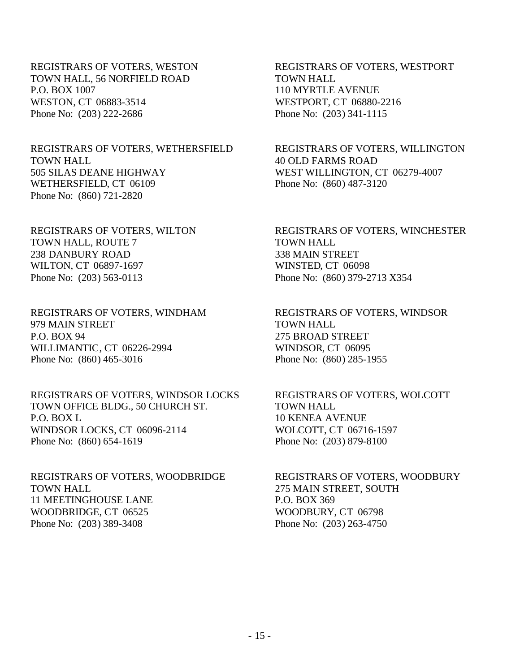REGISTRARS OF VOTERS, WESTON TOWN HALL, 56 NORFIELD ROAD P.O. BOX 1007 WESTON, CT 06883-3514 Phone No: (203) 222-2686

REGISTRARS OF VOTERS, WETHERSFIELD TOWN HALL 505 SILAS DEANE HIGHWAY WETHERSFIELD, CT 06109 Phone No: (860) 721-2820

REGISTRARS OF VOTERS, WILTON TOWN HALL, ROUTE 7 238 DANBURY ROAD WILTON, CT 06897-1697 Phone No: (203) 563-0113

REGISTRARS OF VOTERS, WINDHAM 979 MAIN STREET P.O. BOX 94 WILLIMANTIC, CT 06226-2994 Phone No: (860) 465-3016

REGISTRARS OF VOTERS, WINDSOR LOCKS TOWN OFFICE BLDG., 50 CHURCH ST. P.O. BOX L WINDSOR LOCKS, CT 06096-2114 Phone No: (860) 654-1619

REGISTRARS OF VOTERS, WOODBRIDGE TOWN HALL 11 MEETINGHOUSE LANE WOODBRIDGE, CT 06525 Phone No: (203) 389-3408

REGISTRARS OF VOTERS, WESTPORT TOWN HALL 110 MYRTLE AVENUE WESTPORT, CT 06880-2216 Phone No: (203) 341-1115

REGISTRARS OF VOTERS, WILLINGTON 40 OLD FARMS ROAD WEST WILLINGTON, CT 06279-4007 Phone No: (860) 487-3120

REGISTRARS OF VOTERS, WINCHESTER TOWN HALL 338 MAIN STREET WINSTED, CT 06098 Phone No: (860) 379-2713 X354

REGISTRARS OF VOTERS, WINDSOR TOWN HALL 275 BROAD STREET WINDSOR, CT 06095 Phone No: (860) 285-1955

REGISTRARS OF VOTERS, WOLCOTT TOWN HALL 10 KENEA AVENUE WOLCOTT, CT 06716-1597 Phone No: (203) 879-8100

REGISTRARS OF VOTERS, WOODBURY 275 MAIN STREET, SOUTH P.O. BOX 369 WOODBURY, CT 06798 Phone No: (203) 263-4750